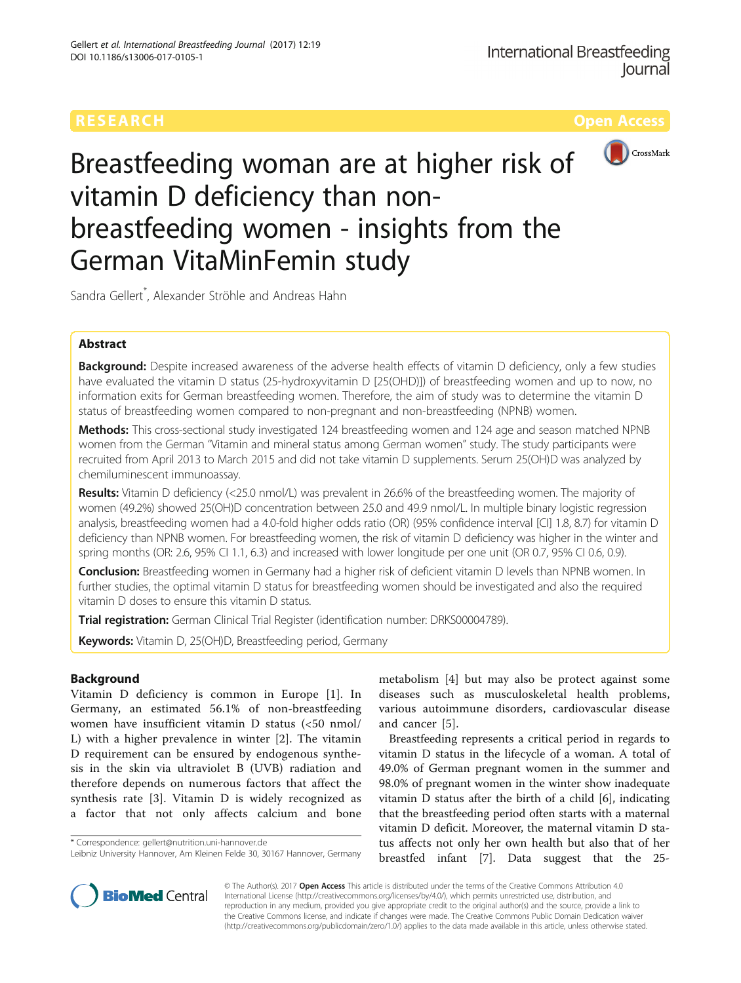

Breastfeeding woman are at higher risk of vitamin D deficiency than nonbreastfeeding women - insights from the German VitaMinFemin study

Sandra Gellert\* , Alexander Ströhle and Andreas Hahn

# Abstract

Background: Despite increased awareness of the adverse health effects of vitamin D deficiency, only a few studies have evaluated the vitamin D status (25-hydroxyvitamin D [25(OHD)]) of breastfeeding women and up to now, no information exits for German breastfeeding women. Therefore, the aim of study was to determine the vitamin D status of breastfeeding women compared to non-pregnant and non-breastfeeding (NPNB) women.

Methods: This cross-sectional study investigated 124 breastfeeding women and 124 age and season matched NPNB women from the German "Vitamin and mineral status among German women" study. The study participants were recruited from April 2013 to March 2015 and did not take vitamin D supplements. Serum 25(OH)D was analyzed by chemiluminescent immunoassay.

Results: Vitamin D deficiency (<25.0 nmol/L) was prevalent in 26.6% of the breastfeeding women. The majority of women (49.2%) showed 25(OH)D concentration between 25.0 and 49.9 nmol/L. In multiple binary logistic regression analysis, breastfeeding women had a 4.0-fold higher odds ratio (OR) (95% confidence interval [CI] 1.8, 8.7) for vitamin D deficiency than NPNB women. For breastfeeding women, the risk of vitamin D deficiency was higher in the winter and spring months (OR: 2.6, 95% CI 1.1, 6.3) and increased with lower longitude per one unit (OR 0.7, 95% CI 0.6, 0.9).

Conclusion: Breastfeeding women in Germany had a higher risk of deficient vitamin D levels than NPNB women. In further studies, the optimal vitamin D status for breastfeeding women should be investigated and also the required vitamin D doses to ensure this vitamin D status.

Trial registration: German Clinical Trial Register (identification number: [DRKS00004789](https://drks-neu.uniklinik-freiburg.de/drks_web/)).

Keywords: Vitamin D, 25(OH)D, Breastfeeding period, Germany

# Background

Vitamin D deficiency is common in Europe [\[1](#page-8-0)]. In Germany, an estimated 56.1% of non-breastfeeding women have insufficient vitamin D status (<50 nmol/ L) with a higher prevalence in winter [\[2](#page-8-0)]. The vitamin D requirement can be ensured by endogenous synthesis in the skin via ultraviolet B (UVB) radiation and therefore depends on numerous factors that affect the synthesis rate [\[3](#page-8-0)]. Vitamin D is widely recognized as a factor that not only affects calcium and bone

\* Correspondence: [gellert@nutrition.uni-hannover.de](mailto:gellert@nutrition.uni-hannover.de)

metabolism [[4\]](#page-8-0) but may also be protect against some diseases such as musculoskeletal health problems, various autoimmune disorders, cardiovascular disease and cancer [\[5](#page-8-0)].

Breastfeeding represents a critical period in regards to vitamin D status in the lifecycle of a woman. A total of 49.0% of German pregnant women in the summer and 98.0% of pregnant women in the winter show inadequate vitamin D status after the birth of a child [\[6](#page-8-0)], indicating that the breastfeeding period often starts with a maternal vitamin D deficit. Moreover, the maternal vitamin D status affects not only her own health but also that of her breastfed infant [\[7](#page-8-0)]. Data suggest that the 25-



© The Author(s). 2017 **Open Access** This article is distributed under the terms of the Creative Commons Attribution 4.0 International License [\(http://creativecommons.org/licenses/by/4.0/](http://creativecommons.org/licenses/by/4.0/)), which permits unrestricted use, distribution, and reproduction in any medium, provided you give appropriate credit to the original author(s) and the source, provide a link to the Creative Commons license, and indicate if changes were made. The Creative Commons Public Domain Dedication waiver [\(http://creativecommons.org/publicdomain/zero/1.0/](http://creativecommons.org/publicdomain/zero/1.0/)) applies to the data made available in this article, unless otherwise stated.

Leibniz University Hannover, Am Kleinen Felde 30, 30167 Hannover, Germany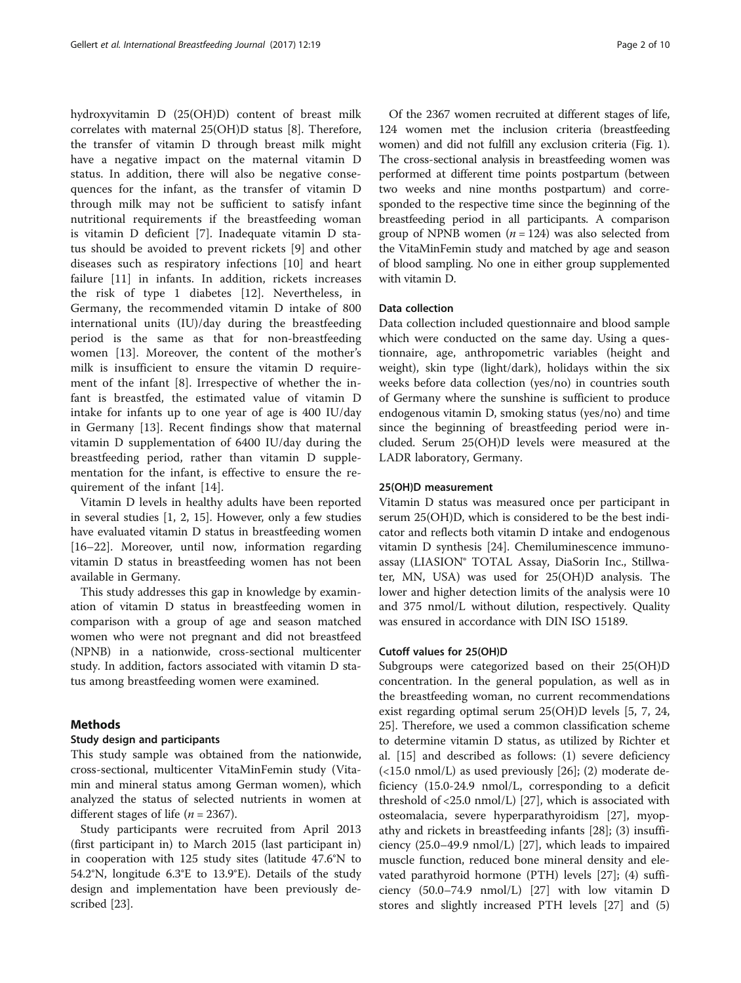hydroxyvitamin D (25(OH)D) content of breast milk correlates with maternal 25(OH)D status [\[8](#page-8-0)]. Therefore, the transfer of vitamin D through breast milk might have a negative impact on the maternal vitamin D status. In addition, there will also be negative consequences for the infant, as the transfer of vitamin D through milk may not be sufficient to satisfy infant nutritional requirements if the breastfeeding woman is vitamin D deficient [\[7](#page-8-0)]. Inadequate vitamin D status should be avoided to prevent rickets [[9](#page-8-0)] and other diseases such as respiratory infections [[10\]](#page-8-0) and heart failure [\[11](#page-8-0)] in infants. In addition, rickets increases the risk of type 1 diabetes [[12\]](#page-8-0). Nevertheless, in Germany, the recommended vitamin D intake of 800 international units (IU)/day during the breastfeeding period is the same as that for non-breastfeeding women [\[13](#page-8-0)]. Moreover, the content of the mother's milk is insufficient to ensure the vitamin D requirement of the infant [[8\]](#page-8-0). Irrespective of whether the infant is breastfed, the estimated value of vitamin D intake for infants up to one year of age is 400 IU/day in Germany [[13\]](#page-8-0). Recent findings show that maternal vitamin D supplementation of 6400 IU/day during the breastfeeding period, rather than vitamin D supplementation for the infant, is effective to ensure the requirement of the infant [\[14](#page-8-0)].

Vitamin D levels in healthy adults have been reported in several studies [\[1](#page-8-0), [2, 15](#page-8-0)]. However, only a few studies have evaluated vitamin D status in breastfeeding women [[16](#page-8-0)–[22](#page-8-0)]. Moreover, until now, information regarding vitamin D status in breastfeeding women has not been available in Germany.

This study addresses this gap in knowledge by examination of vitamin D status in breastfeeding women in comparison with a group of age and season matched women who were not pregnant and did not breastfeed (NPNB) in a nationwide, cross-sectional multicenter study. In addition, factors associated with vitamin D status among breastfeeding women were examined.

# Methods

## Study design and participants

This study sample was obtained from the nationwide, cross-sectional, multicenter VitaMinFemin study (Vitamin and mineral status among German women), which analyzed the status of selected nutrients in women at different stages of life ( $n = 2367$ ).

Study participants were recruited from April 2013 (first participant in) to March 2015 (last participant in) in cooperation with 125 study sites (latitude 47.6°N to 54.2°N, longitude 6.3°E to 13.9°E). Details of the study design and implementation have been previously described [[23\]](#page-8-0).

Of the 2367 women recruited at different stages of life, 124 women met the inclusion criteria (breastfeeding women) and did not fulfill any exclusion criteria (Fig. [1](#page-2-0)). The cross-sectional analysis in breastfeeding women was performed at different time points postpartum (between two weeks and nine months postpartum) and corresponded to the respective time since the beginning of the breastfeeding period in all participants. A comparison group of NPNB women ( $n = 124$ ) was also selected from the VitaMinFemin study and matched by age and season of blood sampling. No one in either group supplemented with vitamin D.

#### Data collection

Data collection included questionnaire and blood sample which were conducted on the same day. Using a questionnaire, age, anthropometric variables (height and weight), skin type (light/dark), holidays within the six weeks before data collection (yes/no) in countries south of Germany where the sunshine is sufficient to produce endogenous vitamin D, smoking status (yes/no) and time since the beginning of breastfeeding period were included. Serum 25(OH)D levels were measured at the LADR laboratory, Germany.

## 25(OH)D measurement

Vitamin D status was measured once per participant in serum 25(OH)D, which is considered to be the best indicator and reflects both vitamin D intake and endogenous vitamin D synthesis [[24](#page-8-0)]. Chemiluminescence immunoassay (LIASION® TOTAL Assay, DiaSorin Inc., Stillwater, MN, USA) was used for 25(OH)D analysis. The lower and higher detection limits of the analysis were 10 and 375 nmol/L without dilution, respectively. Quality was ensured in accordance with DIN ISO 15189.

## Cutoff values for 25(OH)D

Subgroups were categorized based on their 25(OH)D concentration. In the general population, as well as in the breastfeeding woman, no current recommendations exist regarding optimal serum 25(OH)D levels [\[5, 7, 24](#page-8-0), [25\]](#page-8-0). Therefore, we used a common classification scheme to determine vitamin D status, as utilized by Richter et al. [[15\]](#page-8-0) and described as follows: (1) severe deficiency (<15.0 nmol/L) as used previously [\[26\]](#page-8-0); (2) moderate deficiency (15.0-24.9 nmol/L, corresponding to a deficit threshold of <25.0 nmol/L) [\[27](#page-8-0)], which is associated with osteomalacia, severe hyperparathyroidism [[27\]](#page-8-0), myopathy and rickets in breastfeeding infants [[28\]](#page-8-0); (3) insufficiency (25.0–49.9 nmol/L) [\[27](#page-8-0)], which leads to impaired muscle function, reduced bone mineral density and elevated parathyroid hormone (PTH) levels [[27\]](#page-8-0); (4) sufficiency (50.0–74.9 nmol/L) [\[27](#page-8-0)] with low vitamin D stores and slightly increased PTH levels [[27](#page-8-0)] and (5)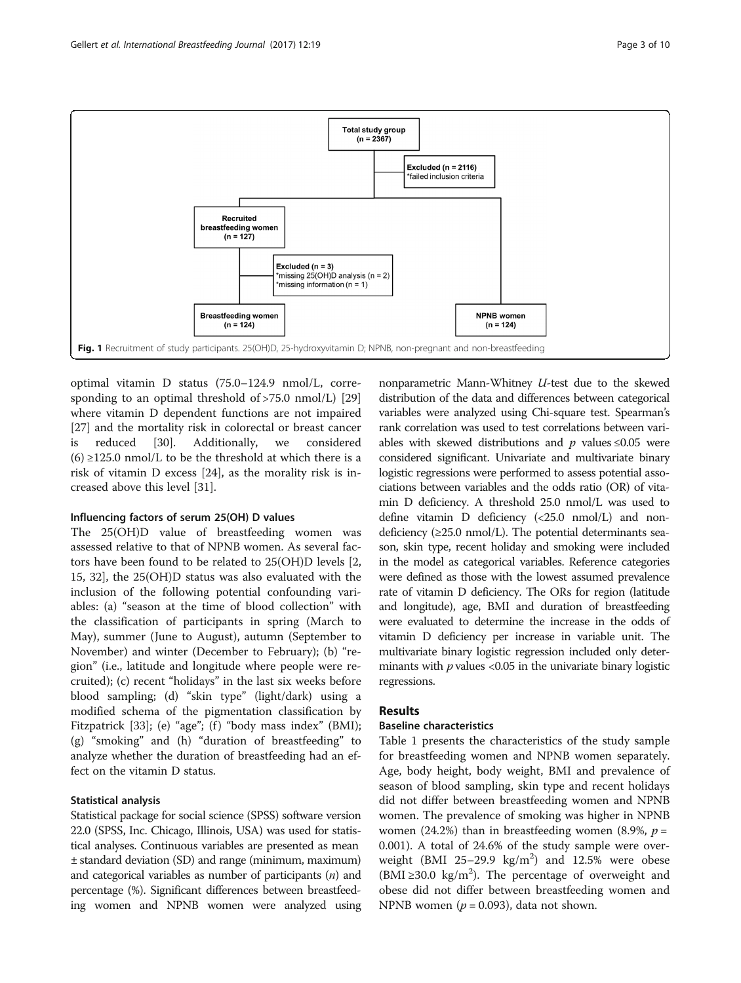<span id="page-2-0"></span>

optimal vitamin D status (75.0–124.9 nmol/L, corresponding to an optimal threshold of  $>75.0$  nmol/L) [[29](#page-8-0)] where vitamin D dependent functions are not impaired [[27\]](#page-8-0) and the mortality risk in colorectal or breast cancer is reduced [\[30](#page-8-0)]. Additionally, we considered  $(6) \ge 125.0$  nmol/L to be the threshold at which there is a risk of vitamin D excess [\[24\]](#page-8-0), as the morality risk is increased above this level [[31\]](#page-9-0).

# Influencing factors of serum 25(OH) D values

The 25(OH)D value of breastfeeding women was assessed relative to that of NPNB women. As several factors have been found to be related to 25(OH)D levels [\[2](#page-8-0), [15,](#page-8-0) [32\]](#page-9-0), the 25(OH)D status was also evaluated with the inclusion of the following potential confounding variables: (a) "season at the time of blood collection" with the classification of participants in spring (March to May), summer (June to August), autumn (September to November) and winter (December to February); (b) "region" (i.e., latitude and longitude where people were recruited); (c) recent "holidays" in the last six weeks before blood sampling; (d) "skin type" (light/dark) using a modified schema of the pigmentation classification by Fitzpatrick [\[33](#page-9-0)]; (e) "age"; (f) "body mass index" (BMI); (g) "smoking" and (h) "duration of breastfeeding" to analyze whether the duration of breastfeeding had an effect on the vitamin D status.

# Statistical analysis

Statistical package for social science (SPSS) software version 22.0 (SPSS, Inc. Chicago, Illinois, USA) was used for statistical analyses. Continuous variables are presented as mean ± standard deviation (SD) and range (minimum, maximum) and categorical variables as number of participants  $(n)$  and percentage (%). Significant differences between breastfeeding women and NPNB women were analyzed using

nonparametric Mann-Whitney U-test due to the skewed distribution of the data and differences between categorical variables were analyzed using Chi-square test. Spearman's rank correlation was used to test correlations between variables with skewed distributions and  $p$  values  $\leq 0.05$  were considered significant. Univariate and multivariate binary logistic regressions were performed to assess potential associations between variables and the odds ratio (OR) of vitamin D deficiency. A threshold 25.0 nmol/L was used to define vitamin D deficiency (<25.0 nmol/L) and nondeficiency  $(\geq 25.0 \text{ nmol/L})$ . The potential determinants season, skin type, recent holiday and smoking were included in the model as categorical variables. Reference categories were defined as those with the lowest assumed prevalence rate of vitamin D deficiency. The ORs for region (latitude and longitude), age, BMI and duration of breastfeeding were evaluated to determine the increase in the odds of vitamin D deficiency per increase in variable unit. The multivariate binary logistic regression included only determinants with  $p$  values <0.05 in the univariate binary logistic regressions.

# Results

# Baseline characteristics

Table [1](#page-3-0) presents the characteristics of the study sample for breastfeeding women and NPNB women separately. Age, body height, body weight, BMI and prevalence of season of blood sampling, skin type and recent holidays did not differ between breastfeeding women and NPNB women. The prevalence of smoking was higher in NPNB women (24.2%) than in breastfeeding women (8.9%,  $p =$ 0.001). A total of 24.6% of the study sample were overweight (BMI  $25-29.9$  kg/m<sup>2</sup>) and 12.5% were obese (BMI ≥30.0 kg/m<sup>2</sup>). The percentage of overweight and obese did not differ between breastfeeding women and NPNB women ( $p = 0.093$ ), data not shown.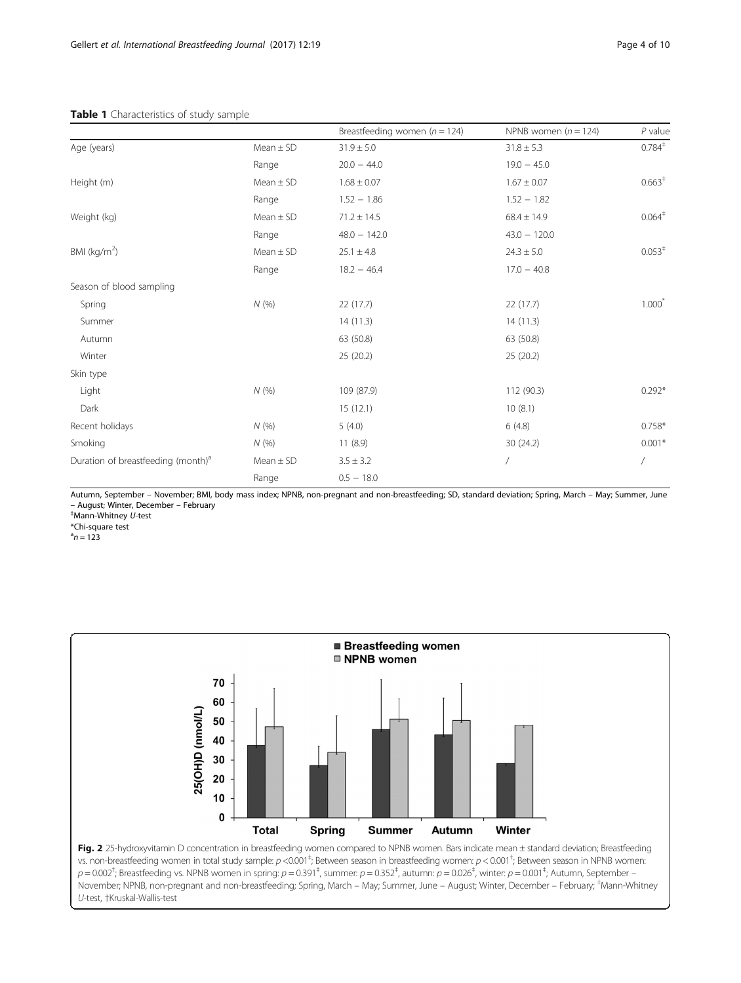## <span id="page-3-0"></span>Table 1 Characteristics of study sample

|                                                |               | Breastfeeding women ( $n = 124$ ) | NPNB women $(n = 124)$ | $P$ value          |
|------------------------------------------------|---------------|-----------------------------------|------------------------|--------------------|
| Age (years)                                    | $Mean \pm SD$ | $31.9 \pm 5.0$                    | $31.8 \pm 5.3$         | $0.784^{\ddagger}$ |
|                                                | Range         | $20.0 - 44.0$                     | $19.0 - 45.0$          |                    |
| Height (m)                                     | $Mean \pm SD$ | $1.68 \pm 0.07$                   | $1.67 \pm 0.07$        | 0.663 <sup>†</sup> |
|                                                | Range         | $1.52 - 1.86$                     | $1.52 - 1.82$          |                    |
| Weight (kg)                                    | $Mean \pm SD$ | $71.2 \pm 14.5$                   | $68.4 \pm 14.9$        | $0.064^{\ddagger}$ |
|                                                | Range         | $48.0 - 142.0$                    | $43.0 - 120.0$         |                    |
| BMI ( $kg/m2$ )                                | Mean $\pm$ SD | $25.1 \pm 4.8$                    | $24.3 \pm 5.0$         | $0.053^+$          |
|                                                | Range         | $18.2 - 46.4$                     | $17.0 - 40.8$          |                    |
| Season of blood sampling                       |               |                                   |                        |                    |
| Spring                                         | N(%)          | 22(17.7)                          | 22(17.7)               | $1.000^*$          |
| Summer                                         |               | 14(11.3)                          | 14(11.3)               |                    |
| Autumn                                         |               | 63 (50.8)                         | 63 (50.8)              |                    |
| Winter                                         |               | 25 (20.2)                         | 25 (20.2)              |                    |
| Skin type                                      |               |                                   |                        |                    |
| Light                                          | N(%)          | 109 (87.9)                        | 112 (90.3)             | $0.292*$           |
| Dark                                           |               | 15(12.1)                          | 10(8.1)                |                    |
| Recent holidays                                | N(%)          | 5(4.0)                            | 6(4.8)                 | $0.758*$           |
| Smoking                                        | N(%)          | 11(8.9)                           | 30 (24.2)              | $0.001*$           |
| Duration of breastfeeding (month) <sup>a</sup> | $Mean \pm SD$ | $3.5 \pm 3.2$                     | $\bigg)$               | Ϊ                  |
|                                                | Range         | $0.5 - 18.0$                      |                        |                    |

Autumn, September – November; BMI, body mass index; NPNB, non-pregnant and non-breastfeeding; SD, standard deviation; Spring, March – May; Summer, June – August; Winter, December – February ‡

Mann-Whitney U-test

\*Chi-square test

 $a_n = 123$ 



vs. non-breastfeeding women in total study sample:  $p < 0.001^\frac{1}{7}$ ; Between season in breastfeeding women:  $p < 0.001^\frac{1}{7}$ ; Between season in NPNB women  $p=0.002^\dagger$ ; Breastfeeding vs. NPNB women in spring:  $p=0.391^\dagger$ , summer:  $p=0.352^\dagger$ , autumn:  $p=0.026^\dagger$ , winter:  $p=0.001^\dagger$ ; Autumn, September – November; NPNB, non-pregnant and non-breastfeeding; Spring, March – May; Summer, June – August; Winter, December – February; ‡ Mann-Whitney U-test, †Kruskal-Wallis-test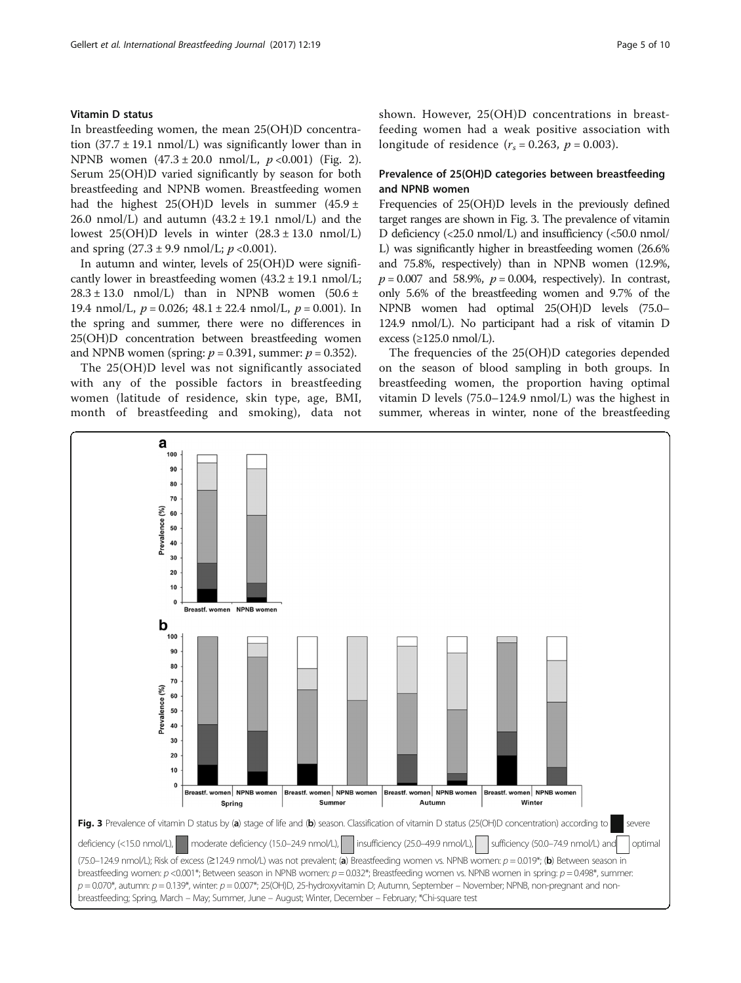# Vitamin D status

In breastfeeding women, the mean 25(OH)D concentration  $(37.7 \pm 19.1 \text{ nmol/L})$  was significantly lower than in NPNB women  $(47.3 \pm 20.0 \text{ nmol/L}, p < 0.001)$  $(47.3 \pm 20.0 \text{ nmol/L}, p < 0.001)$  $(47.3 \pm 20.0 \text{ nmol/L}, p < 0.001)$  (Fig. 2). Serum 25(OH)D varied significantly by season for both breastfeeding and NPNB women. Breastfeeding women had the highest 25(OH)D levels in summer  $(45.9 \pm$ 26.0 nmol/L) and autumn  $(43.2 \pm 19.1 \text{ nmol/L})$  and the lowest  $25(OH)D$  levels in winter  $(28.3 \pm 13.0 \text{ nmol/L})$ and spring  $(27.3 \pm 9.9 \text{ nmol/L}; p < 0.001)$ .

In autumn and winter, levels of 25(OH)D were significantly lower in breastfeeding women  $(43.2 \pm 19.1 \text{ nmol/L})$ ;  $28.3 \pm 13.0$  nmol/L) than in NPNB women  $(50.6 \pm 13.0)$ 19.4 nmol/L,  $p = 0.026$ ; 48.1 ± 22.4 nmol/L,  $p = 0.001$ ). In the spring and summer, there were no differences in 25(OH)D concentration between breastfeeding women and NPNB women (spring:  $p = 0.391$ , summer:  $p = 0.352$ ).

The 25(OH)D level was not significantly associated with any of the possible factors in breastfeeding women (latitude of residence, skin type, age, BMI, month of breastfeeding and smoking), data not shown. However, 25(OH)D concentrations in breastfeeding women had a weak positive association with longitude of residence  $(r<sub>s</sub> = 0.263, p = 0.003)$ .

# Prevalence of 25(OH)D categories between breastfeeding and NPNB women

Frequencies of 25(OH)D levels in the previously defined target ranges are shown in Fig. 3. The prevalence of vitamin D deficiency (<25.0 nmol/L) and insufficiency (<50.0 nmol/ L) was significantly higher in breastfeeding women (26.6% and 75.8%, respectively) than in NPNB women (12.9%,  $p = 0.007$  and 58.9%,  $p = 0.004$ , respectively). In contrast, only 5.6% of the breastfeeding women and 9.7% of the NPNB women had optimal 25(OH)D levels (75.0– 124.9 nmol/L). No participant had a risk of vitamin D excess  $(\geq 125.0 \text{ nmol/L}).$ 

The frequencies of the 25(OH)D categories depended on the season of blood sampling in both groups. In breastfeeding women, the proportion having optimal vitamin D levels (75.0–124.9 nmol/L) was the highest in summer, whereas in winter, none of the breastfeeding

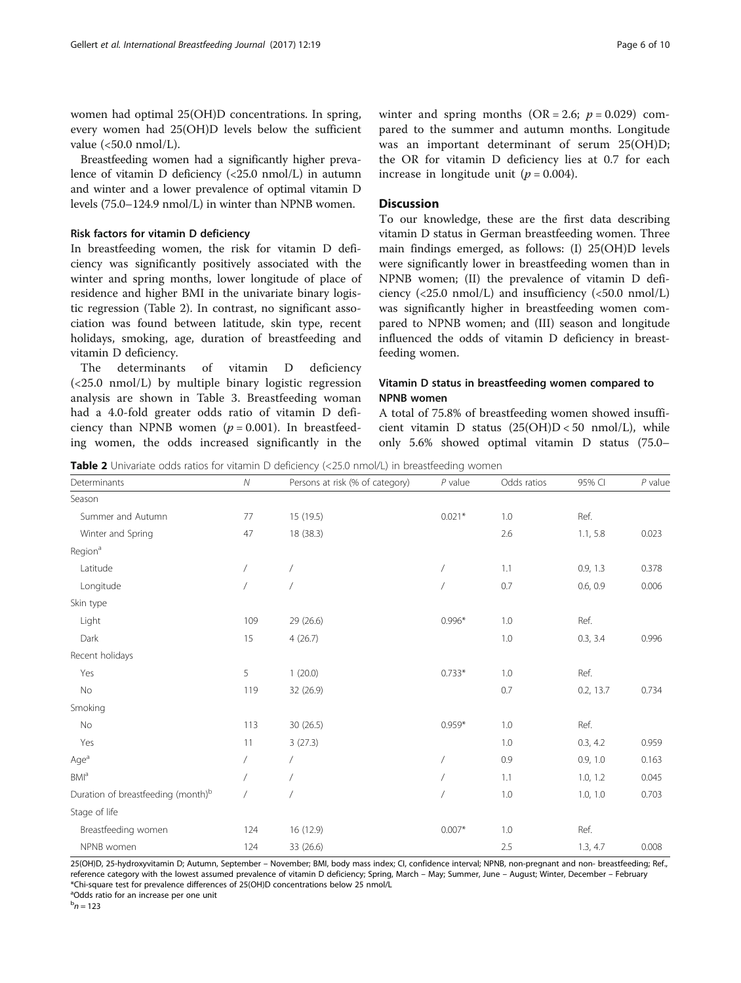women had optimal 25(OH)D concentrations. In spring, every women had 25(OH)D levels below the sufficient value (<50.0 nmol/L).

Breastfeeding women had a significantly higher prevalence of vitamin D deficiency (<25.0 nmol/L) in autumn and winter and a lower prevalence of optimal vitamin D levels (75.0–124.9 nmol/L) in winter than NPNB women.

## Risk factors for vitamin D deficiency

In breastfeeding women, the risk for vitamin D deficiency was significantly positively associated with the winter and spring months, lower longitude of place of residence and higher BMI in the univariate binary logistic regression (Table 2). In contrast, no significant association was found between latitude, skin type, recent holidays, smoking, age, duration of breastfeeding and vitamin D deficiency.

The determinants of vitamin D deficiency (<25.0 nmol/L) by multiple binary logistic regression analysis are shown in Table [3.](#page-6-0) Breastfeeding woman had a 4.0-fold greater odds ratio of vitamin D deficiency than NPNB women  $(p = 0.001)$ . In breastfeeding women, the odds increased significantly in the winter and spring months  $(OR = 2.6; p = 0.029)$  compared to the summer and autumn months. Longitude was an important determinant of serum 25(OH)D; the OR for vitamin D deficiency lies at 0.7 for each increase in longitude unit ( $p = 0.004$ ).

# **Discussion**

To our knowledge, these are the first data describing vitamin D status in German breastfeeding women. Three main findings emerged, as follows: (I) 25(OH)D levels were significantly lower in breastfeeding women than in NPNB women; (II) the prevalence of vitamin D deficiency  $\langle$  <25.0 nmol/L) and insufficiency  $\langle$  <50.0 nmol/L) was significantly higher in breastfeeding women compared to NPNB women; and (III) season and longitude influenced the odds of vitamin D deficiency in breastfeeding women.

# Vitamin D status in breastfeeding women compared to NPNB women

A total of 75.8% of breastfeeding women showed insufficient vitamin D status (25(OH)D < 50 nmol/L), while only 5.6% showed optimal vitamin D status (75.0–

Table 2 Univariate odds ratios for vitamin D deficiency (<25.0 nmol/L) in breastfeeding women

| Determinants                                   | ${\cal N}$ | Persons at risk (% of category) | $P$ value  | Odds ratios | 95% CI    | $P$ value |
|------------------------------------------------|------------|---------------------------------|------------|-------------|-----------|-----------|
| Season                                         |            |                                 |            |             |           |           |
| Summer and Autumn                              | 77         | 15 (19.5)                       | $0.021*$   | 1.0         | Ref.      |           |
| Winter and Spring                              | 47         | 18 (38.3)                       |            | 2.6         | 1.1, 5.8  | 0.023     |
| Region <sup>a</sup>                            |            |                                 |            |             |           |           |
| Latitude                                       |            |                                 | $\bigg)$   | 1.1         | 0.9, 1.3  | 0.378     |
| Longitude                                      | $\sqrt{2}$ |                                 | $\prime$   | 0.7         | 0.6, 0.9  | 0.006     |
| Skin type                                      |            |                                 |            |             |           |           |
| Light                                          | 109        | 29 (26.6)                       | $0.996*$   | 1.0         | Ref.      |           |
| Dark                                           | 15         | 4(26.7)                         |            | 1.0         | 0.3, 3.4  | 0.996     |
| Recent holidays                                |            |                                 |            |             |           |           |
| Yes                                            | 5          | 1(20.0)                         | $0.733*$   | 1.0         | Ref.      |           |
| No                                             | 119        | 32 (26.9)                       |            | 0.7         | 0.2, 13.7 | 0.734     |
| Smoking                                        |            |                                 |            |             |           |           |
| No                                             | 113        | 30(26.5)                        | $0.959*$   | 1.0         | Ref.      |           |
| Yes                                            | 11         | 3(27.3)                         |            | 1.0         | 0.3, 4.2  | 0.959     |
| Age <sup>a</sup>                               | 7          | $\sqrt{2}$                      | Ϊ          | 0.9         | 0.9, 1.0  | 0.163     |
| <b>BMI</b> <sup>a</sup>                        | $\sqrt{2}$ |                                 | $\sqrt{2}$ | 1.1         | 1.0, 1.2  | 0.045     |
| Duration of breastfeeding (month) <sup>b</sup> | $\sqrt{2}$ |                                 |            | 1.0         | 1.0, 1.0  | 0.703     |
| Stage of life                                  |            |                                 |            |             |           |           |
| Breastfeeding women                            | 124        | 16 (12.9)                       | $0.007*$   | 1.0         | Ref.      |           |
| NPNB women                                     | 124        | 33 (26.6)                       |            | 2.5         | 1.3, 4.7  | 0.008     |

25(OH)D, 25-hydroxyvitamin D; Autumn, September – November; BMI, body mass index; CI, confidence interval; NPNB, non-pregnant and non- breastfeeding; Ref., reference category with the lowest assumed prevalence of vitamin D deficiency; Spring, March – May; Summer, June – August; Winter, December – February \*Chi-square test for prevalence differences of 25(OH)D concentrations below 25 nmol/L

<sup>a</sup>Odds ratio for an increase per one unit

 $b_n = 123$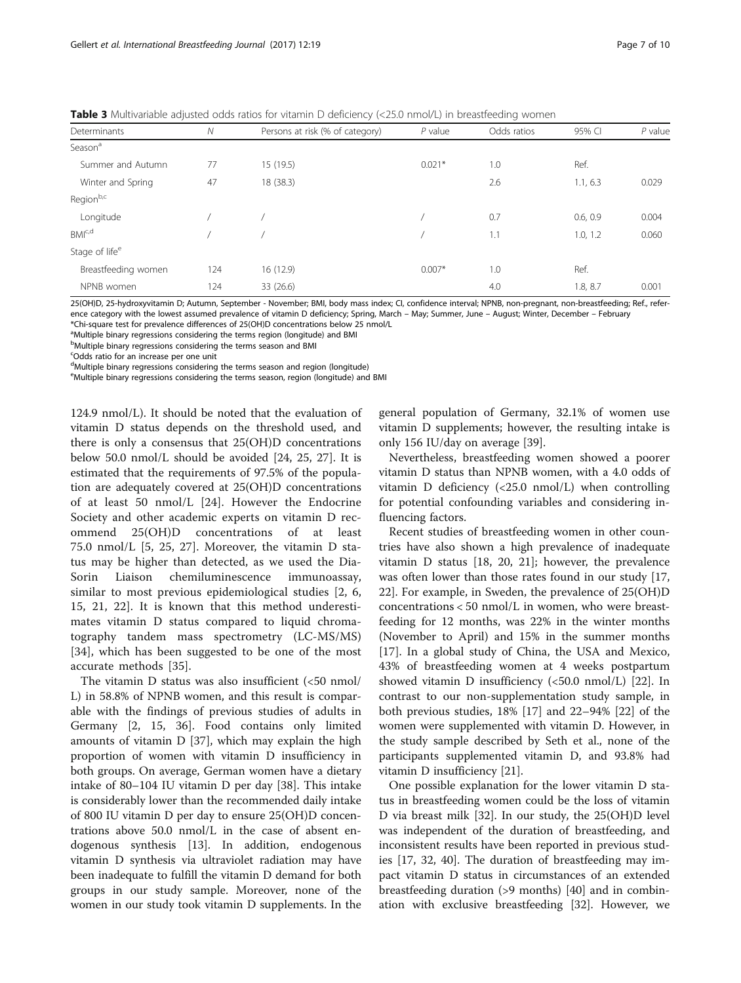<span id="page-6-0"></span>**Table 3** Multivariable adjusted odds ratios for vitamin D deficiency (<25.0 nmol/L) in breastfeeding women

|                            |              |                                 |           | $\tilde{}$  |          |           |
|----------------------------|--------------|---------------------------------|-----------|-------------|----------|-----------|
| Determinants               | $\mathcal N$ | Persons at risk (% of category) | $P$ value | Odds ratios | 95% CI   | $P$ value |
| Season <sup>a</sup>        |              |                                 |           |             |          |           |
| Summer and Autumn          | 77           | 15 (19.5)                       | $0.021*$  | 1.0         | Ref.     |           |
| Winter and Spring          | 47           | 18 (38.3)                       |           | 2.6         | 1.1, 6.3 | 0.029     |
| Regionb,c                  |              |                                 |           |             |          |           |
| Longitude                  |              |                                 |           | 0.7         | 0.6, 0.9 | 0.004     |
| BM <sup>c,d</sup>          |              |                                 |           | 1.1         | 1.0, 1.2 | 0.060     |
| Stage of life <sup>e</sup> |              |                                 |           |             |          |           |
| Breastfeeding women        | 124          | 16 (12.9)                       | $0.007*$  | 1.0         | Ref.     |           |
| NPNB women                 | 124          | 33 (26.6)                       |           | 4.0         | 1.8, 8.7 | 0.001     |
|                            |              |                                 |           |             |          |           |

25(OH)D, 25-hydroxyvitamin D; Autumn, September - November; BMI, body mass index; CI, confidence interval; NPNB, non-pregnant, non-breastfeeding; Ref., reference category with the lowest assumed prevalence of vitamin D deficiency; Spring, March – May; Summer, June – August; Winter, December – February \*Chi-square test for prevalence differences of 25(OH)D concentrations below 25 nmol/L

<sup>a</sup>Multiple binary regressions considering the terms region (longitude) and BMI

<sup>b</sup>Multiple binary regressions considering the terms season and BMI

c Odds ratio for an increase per one unit

<sup>d</sup>Multiple binary regressions considering the terms season and region (longitude)

<sup>e</sup>Multiple binary regressions considering the terms season, region (longitude) and BMI

124.9 nmol/L). It should be noted that the evaluation of vitamin D status depends on the threshold used, and there is only a consensus that 25(OH)D concentrations below 50.0 nmol/L should be avoided [[24, 25, 27\]](#page-8-0). It is estimated that the requirements of 97.5% of the population are adequately covered at 25(OH)D concentrations of at least 50 nmol/L [[24\]](#page-8-0). However the Endocrine Society and other academic experts on vitamin D recommend 25(OH)D concentrations of at least 75.0 nmol/L [[5, 25](#page-8-0), [27](#page-8-0)]. Moreover, the vitamin D status may be higher than detected, as we used the Dia-Sorin Liaison chemiluminescence immunoassay, similar to most previous epidemiological studies [[2, 6](#page-8-0), [15, 21](#page-8-0), [22\]](#page-8-0). It is known that this method underestimates vitamin D status compared to liquid chromatography tandem mass spectrometry (LC-MS/MS) [[34\]](#page-9-0), which has been suggested to be one of the most accurate methods [[35](#page-9-0)].

The vitamin D status was also insufficient (<50 nmol/ L) in 58.8% of NPNB women, and this result is comparable with the findings of previous studies of adults in Germany [[2, 15](#page-8-0), [36](#page-9-0)]. Food contains only limited amounts of vitamin D [[37\]](#page-9-0), which may explain the high proportion of women with vitamin D insufficiency in both groups. On average, German women have a dietary intake of 80–104 IU vitamin D per day [[38\]](#page-9-0). This intake is considerably lower than the recommended daily intake of 800 IU vitamin D per day to ensure 25(OH)D concentrations above 50.0 nmol/L in the case of absent endogenous synthesis [\[13\]](#page-8-0). In addition, endogenous vitamin D synthesis via ultraviolet radiation may have been inadequate to fulfill the vitamin D demand for both groups in our study sample. Moreover, none of the women in our study took vitamin D supplements. In the general population of Germany, 32.1% of women use vitamin D supplements; however, the resulting intake is only 156 IU/day on average [[39\]](#page-9-0).

Nevertheless, breastfeeding women showed a poorer vitamin D status than NPNB women, with a 4.0 odds of vitamin D deficiency (<25.0 nmol/L) when controlling for potential confounding variables and considering influencing factors.

Recent studies of breastfeeding women in other countries have also shown a high prevalence of inadequate vitamin D status [[18, 20](#page-8-0), [21\]](#page-8-0); however, the prevalence was often lower than those rates found in our study [[17](#page-8-0), [22\]](#page-8-0). For example, in Sweden, the prevalence of 25(OH)D concentrations < 50 nmol/L in women, who were breastfeeding for 12 months, was 22% in the winter months (November to April) and 15% in the summer months [[17\]](#page-8-0). In a global study of China, the USA and Mexico, 43% of breastfeeding women at 4 weeks postpartum showed vitamin D insufficiency (<50.0 nmol/L) [[22](#page-8-0)]. In contrast to our non-supplementation study sample, in both previous studies, 18% [[17\]](#page-8-0) and 22–94% [\[22](#page-8-0)] of the women were supplemented with vitamin D. However, in the study sample described by Seth et al., none of the participants supplemented vitamin D, and 93.8% had vitamin D insufficiency [[21](#page-8-0)].

One possible explanation for the lower vitamin D status in breastfeeding women could be the loss of vitamin D via breast milk [\[32](#page-9-0)]. In our study, the 25(OH)D level was independent of the duration of breastfeeding, and inconsistent results have been reported in previous studies [[17](#page-8-0), [32](#page-9-0), [40](#page-9-0)]. The duration of breastfeeding may impact vitamin D status in circumstances of an extended breastfeeding duration (>9 months) [\[40\]](#page-9-0) and in combination with exclusive breastfeeding [[32\]](#page-9-0). However, we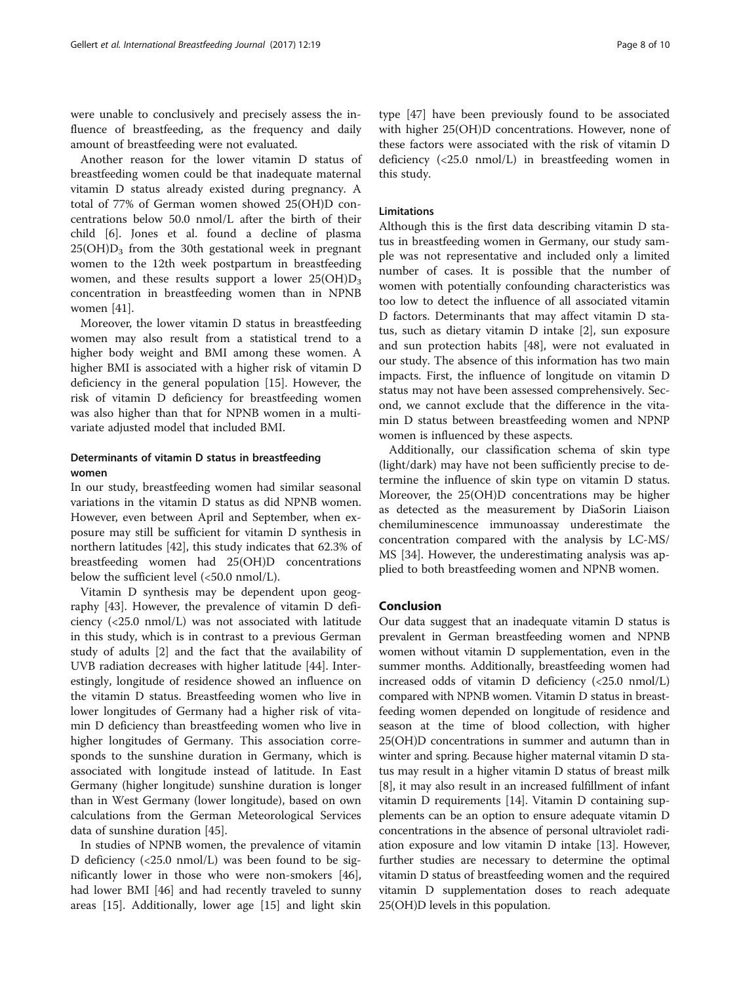were unable to conclusively and precisely assess the influence of breastfeeding, as the frequency and daily amount of breastfeeding were not evaluated.

Another reason for the lower vitamin D status of breastfeeding women could be that inadequate maternal vitamin D status already existed during pregnancy. A total of 77% of German women showed 25(OH)D concentrations below 50.0 nmol/L after the birth of their child [\[6](#page-8-0)]. Jones et al. found a decline of plasma  $25(OH)D<sub>3</sub>$  from the 30th gestational week in pregnant women to the 12th week postpartum in breastfeeding women, and these results support a lower  $25(OH)D_3$ concentration in breastfeeding women than in NPNB women [[41\]](#page-9-0).

Moreover, the lower vitamin D status in breastfeeding women may also result from a statistical trend to a higher body weight and BMI among these women. A higher BMI is associated with a higher risk of vitamin D deficiency in the general population [\[15\]](#page-8-0). However, the risk of vitamin D deficiency for breastfeeding women was also higher than that for NPNB women in a multivariate adjusted model that included BMI.

# Determinants of vitamin D status in breastfeeding women

In our study, breastfeeding women had similar seasonal variations in the vitamin D status as did NPNB women. However, even between April and September, when exposure may still be sufficient for vitamin D synthesis in northern latitudes [[42\]](#page-9-0), this study indicates that 62.3% of breastfeeding women had 25(OH)D concentrations below the sufficient level (<50.0 nmol/L).

Vitamin D synthesis may be dependent upon geography [\[43\]](#page-9-0). However, the prevalence of vitamin D deficiency (<25.0 nmol/L) was not associated with latitude in this study, which is in contrast to a previous German study of adults [[2\]](#page-8-0) and the fact that the availability of UVB radiation decreases with higher latitude [[44\]](#page-9-0). Interestingly, longitude of residence showed an influence on the vitamin D status. Breastfeeding women who live in lower longitudes of Germany had a higher risk of vitamin D deficiency than breastfeeding women who live in higher longitudes of Germany. This association corresponds to the sunshine duration in Germany, which is associated with longitude instead of latitude. In East Germany (higher longitude) sunshine duration is longer than in West Germany (lower longitude), based on own calculations from the German Meteorological Services data of sunshine duration [[45](#page-9-0)].

In studies of NPNB women, the prevalence of vitamin D deficiency (<25.0 nmol/L) was been found to be significantly lower in those who were non-smokers [\[46](#page-9-0)], had lower BMI [\[46\]](#page-9-0) and had recently traveled to sunny areas [[15](#page-8-0)]. Additionally, lower age [\[15](#page-8-0)] and light skin

type [[47\]](#page-9-0) have been previously found to be associated with higher 25(OH)D concentrations. However, none of these factors were associated with the risk of vitamin D deficiency (<25.0 nmol/L) in breastfeeding women in this study.

# **Limitations**

Although this is the first data describing vitamin D status in breastfeeding women in Germany, our study sample was not representative and included only a limited number of cases. It is possible that the number of women with potentially confounding characteristics was too low to detect the influence of all associated vitamin D factors. Determinants that may affect vitamin D status, such as dietary vitamin D intake [[2\]](#page-8-0), sun exposure and sun protection habits [\[48\]](#page-9-0), were not evaluated in our study. The absence of this information has two main impacts. First, the influence of longitude on vitamin D status may not have been assessed comprehensively. Second, we cannot exclude that the difference in the vitamin D status between breastfeeding women and NPNP women is influenced by these aspects.

Additionally, our classification schema of skin type (light/dark) may have not been sufficiently precise to determine the influence of skin type on vitamin D status. Moreover, the 25(OH)D concentrations may be higher as detected as the measurement by DiaSorin Liaison chemiluminescence immunoassay underestimate the concentration compared with the analysis by LC-MS/ MS [[34](#page-9-0)]. However, the underestimating analysis was applied to both breastfeeding women and NPNB women.

# Conclusion

Our data suggest that an inadequate vitamin D status is prevalent in German breastfeeding women and NPNB women without vitamin D supplementation, even in the summer months. Additionally, breastfeeding women had increased odds of vitamin D deficiency (<25.0 nmol/L) compared with NPNB women. Vitamin D status in breastfeeding women depended on longitude of residence and season at the time of blood collection, with higher 25(OH)D concentrations in summer and autumn than in winter and spring. Because higher maternal vitamin D status may result in a higher vitamin D status of breast milk [[8\]](#page-8-0), it may also result in an increased fulfillment of infant vitamin D requirements [\[14](#page-8-0)]. Vitamin D containing supplements can be an option to ensure adequate vitamin D concentrations in the absence of personal ultraviolet radiation exposure and low vitamin D intake [\[13](#page-8-0)]. However, further studies are necessary to determine the optimal vitamin D status of breastfeeding women and the required vitamin D supplementation doses to reach adequate 25(OH)D levels in this population.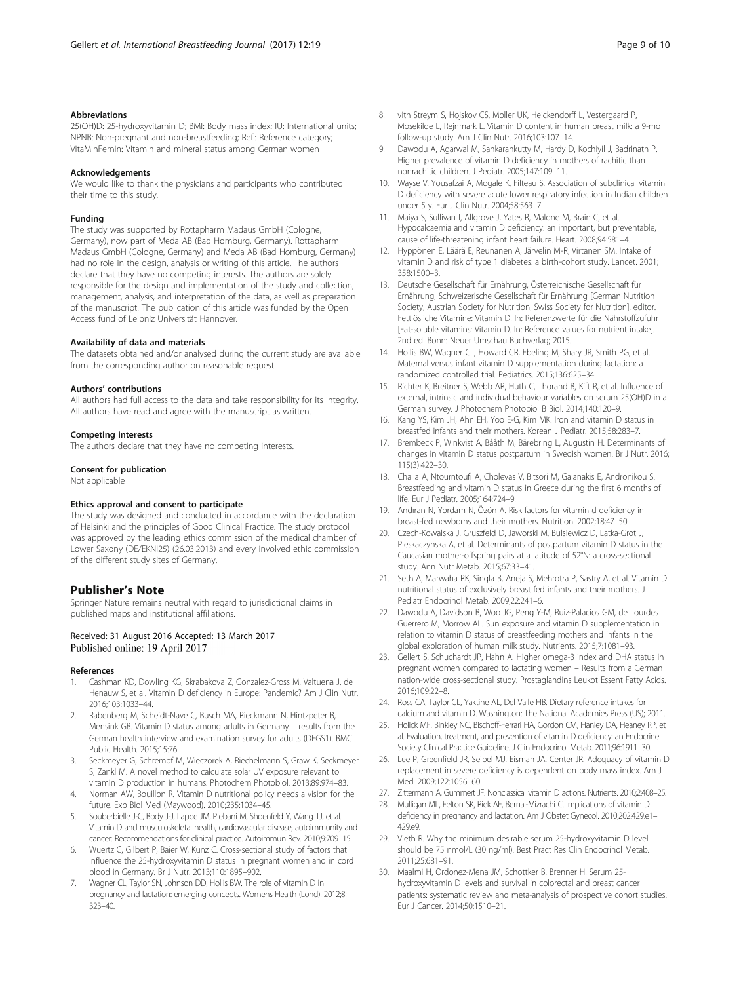## <span id="page-8-0"></span>Abbreviations

25(OH)D: 25-hydroxyvitamin D; BMI: Body mass index; IU: International units; NPNB: Non-pregnant and non-breastfeeding; Ref.: Reference category; VitaMinFemin: Vitamin and mineral status among German women

#### Acknowledgements

We would like to thank the physicians and participants who contributed their time to this study.

#### Funding

The study was supported by Rottapharm Madaus GmbH (Cologne, Germany), now part of Meda AB (Bad Homburg, Germany). Rottapharm Madaus GmbH (Cologne, Germany) and Meda AB (Bad Homburg, Germany) had no role in the design, analysis or writing of this article. The authors declare that they have no competing interests. The authors are solely responsible for the design and implementation of the study and collection, management, analysis, and interpretation of the data, as well as preparation of the manuscript. The publication of this article was funded by the Open Access fund of Leibniz Universität Hannover.

#### Availability of data and materials

The datasets obtained and/or analysed during the current study are available from the corresponding author on reasonable request.

#### Authors' contributions

All authors had full access to the data and take responsibility for its integrity. All authors have read and agree with the manuscript as written.

#### Competing interests

The authors declare that they have no competing interests.

#### Consent for publication

Not applicable

#### Ethics approval and consent to participate

The study was designed and conducted in accordance with the declaration of Helsinki and the principles of Good Clinical Practice. The study protocol was approved by the leading ethics commission of the medical chamber of Lower Saxony (DE/EKNI25) (26.03.2013) and every involved ethic commission of the different study sites of Germany.

## Publisher's Note

Springer Nature remains neutral with regard to jurisdictional claims in published maps and institutional affiliations.

## Received: 31 August 2016 Accepted: 13 March 2017 Published online: 19 April 2017

#### References

- 1. Cashman KD, Dowling KG, Skrabakova Z, Gonzalez-Gross M, Valtuena J, de Henauw S, et al. Vitamin D deficiency in Europe: Pandemic? Am J Clin Nutr. 2016;103:1033–44.
- 2. Rabenberg M, Scheidt-Nave C, Busch MA, Rieckmann N, Hintzpeter B, Mensink GB. Vitamin D status among adults in Germany – results from the German health interview and examination survey for adults (DEGS1). BMC Public Health. 2015;15:76.
- Seckmeyer G, Schrempf M, Wieczorek A, Riechelmann S, Graw K, Seckmeyer S, Zankl M. A novel method to calculate solar UV exposure relevant to vitamin D production in humans. Photochem Photobiol. 2013;89:974–83.
- 4. Norman AW, Bouillon R. Vitamin D nutritional policy needs a vision for the future. Exp Biol Med (Maywood). 2010;235:1034–45.
- 5. Souberbielle J-C, Body J-J, Lappe JM, Plebani M, Shoenfeld Y, Wang TJ, et al. Vitamin D and musculoskeletal health, cardiovascular disease, autoimmunity and cancer: Recommendations for clinical practice. Autoimmun Rev. 2010;9:709–15.
- 6. Wuertz C, Gilbert P, Baier W, Kunz C. Cross-sectional study of factors that influence the 25-hydroxyvitamin D status in pregnant women and in cord blood in Germany. Br J Nutr. 2013;110:1895–902.
- 7. Wagner CL, Taylor SN, Johnson DD, Hollis BW. The role of vitamin D in pregnancy and lactation: emerging concepts. Womens Health (Lond). 2012;8: 323–40.
- 8. vith Streym S, Hojskov CS, Moller UK, Heickendorff L, Vestergaard P, Mosekilde L, Rejnmark L. Vitamin D content in human breast milk: a 9-mo follow-up study. Am J Clin Nutr. 2016;103:107–14.
- Dawodu A, Agarwal M, Sankarankutty M, Hardy D, Kochiyil J, Badrinath P. Higher prevalence of vitamin D deficiency in mothers of rachitic than nonrachitic children. J Pediatr. 2005;147:109–11.
- 10. Wayse V, Yousafzai A, Mogale K, Filteau S. Association of subclinical vitamin D deficiency with severe acute lower respiratory infection in Indian children under 5 y. Eur J Clin Nutr. 2004;58:563–7.
- 11. Maiya S, Sullivan I, Allgrove J, Yates R, Malone M, Brain C, et al. Hypocalcaemia and vitamin D deficiency: an important, but preventable, cause of life-threatening infant heart failure. Heart. 2008;94:581–4.
- 12. Hyppönen E, Läärä E, Reunanen A, Järvelin M-R, Virtanen SM. Intake of vitamin D and risk of type 1 diabetes: a birth-cohort study. Lancet. 2001; 358:1500–3.
- 13. Deutsche Gesellschaft für Ernährung, Österreichische Gesellschaft für Ernährung, Schweizerische Gesellschaft für Ernährung [German Nutrition Society, Austrian Society for Nutrition, Swiss Society for Nutrition], editor. Fettlösliche Vitamine: Vitamin D. In: Referenzwerte für die Nährstoffzufuhr [Fat-soluble vitamins: Vitamin D. In: Reference values for nutrient intake]. 2nd ed. Bonn: Neuer Umschau Buchverlag; 2015.
- 14. Hollis BW, Wagner CL, Howard CR, Ebeling M, Shary JR, Smith PG, et al. Maternal versus infant vitamin D supplementation during lactation: a randomized controlled trial. Pediatrics. 2015;136:625–34.
- 15. Richter K, Breitner S, Webb AR, Huth C, Thorand B, Kift R, et al. Influence of external, intrinsic and individual behaviour variables on serum 25(OH)D in a German survey. J Photochem Photobiol B Biol. 2014;140:120–9.
- 16. Kang YS, Kim JH, Ahn EH, Yoo E-G, Kim MK. Iron and vitamin D status in breastfed infants and their mothers. Korean J Pediatr. 2015;58:283–7.
- 17. Brembeck P, Winkvist A, Bååth M, Bärebring L, Augustin H. Determinants of changes in vitamin D status postpartum in Swedish women. Br J Nutr. 2016; 115(3):422–30.
- 18. Challa A, Ntourntoufi A, Cholevas V, Bitsori M, Galanakis E, Andronikou S. Breastfeeding and vitamin D status in Greece during the first 6 months of life. Eur J Pediatr. 2005;164:724–9.
- 19. Andıran N, Yordam N, Özön A. Risk factors for vitamin d deficiency in breast-fed newborns and their mothers. Nutrition. 2002;18:47–50.
- 20. Czech-Kowalska J, Gruszfeld D, Jaworski M, Bulsiewicz D, Latka-Grot J, Pleskaczynska A, et al. Determinants of postpartum vitamin D status in the Caucasian mother-offspring pairs at a latitude of 52°N: a cross-sectional study. Ann Nutr Metab. 2015;67:33–41.
- 21. Seth A, Marwaha RK, Singla B, Aneja S, Mehrotra P, Sastry A, et al. Vitamin D nutritional status of exclusively breast fed infants and their mothers. J Pediatr Endocrinol Metab. 2009;22:241-6.
- 22. Dawodu A, Davidson B, Woo JG, Peng Y-M, Ruiz-Palacios GM, de Lourdes Guerrero M, Morrow AL. Sun exposure and vitamin D supplementation in relation to vitamin D status of breastfeeding mothers and infants in the global exploration of human milk study. Nutrients. 2015;7:1081–93.
- 23. Gellert S, Schuchardt JP, Hahn A. Higher omega-3 index and DHA status in pregnant women compared to lactating women – Results from a German nation-wide cross-sectional study. Prostaglandins Leukot Essent Fatty Acids. 2016;109:22–8.
- 24. Ross CA, Taylor CL, Yaktine AL, Del Valle HB. Dietary reference intakes for calcium and vitamin D. Washington: The National Academies Press (US); 2011.
- 25. Holick MF, Binkley NC, Bischoff-Ferrari HA, Gordon CM, Hanley DA, Heaney RP, et al. Evaluation, treatment, and prevention of vitamin D deficiency: an Endocrine Society Clinical Practice Guideline. J Clin Endocrinol Metab. 2011;96:1911–30.
- 26. Lee P, Greenfield JR, Seibel MJ, Eisman JA, Center JR. Adequacy of vitamin D replacement in severe deficiency is dependent on body mass index. Am J Med. 2009;122:1056–60.
- 27. Zittermann A, Gummert JF. Nonclassical vitamin D actions. Nutrients. 2010;2:408–25.
- 28. Mulligan ML, Felton SK, Riek AE, Bernal-Mizrachi C. Implications of vitamin D deficiency in pregnancy and lactation. Am J Obstet Gynecol. 2010;202:429.e1– 429.e9.
- 29. Vieth R. Why the minimum desirable serum 25-hydroxyvitamin D level should be 75 nmol/L (30 ng/ml). Best Pract Res Clin Endocrinol Metab. 2011;25:681–91.
- 30. Maalmi H, Ordonez-Mena JM, Schottker B, Brenner H. Serum 25 hydroxyvitamin D levels and survival in colorectal and breast cancer patients: systematic review and meta-analysis of prospective cohort studies. Eur J Cancer. 2014;50:1510–21.